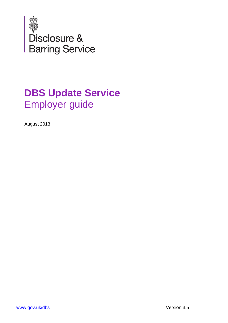

# **DBS Update Service** Employer guide

August 2013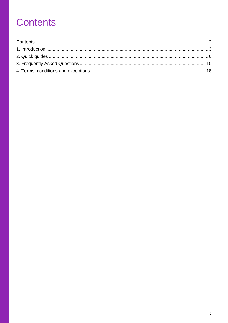# <span id="page-1-0"></span>**Contents**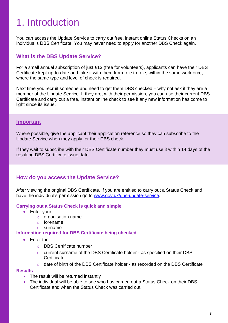# <span id="page-2-0"></span>1. Introduction

You can access the Update Service to carry out free, instant online Status Checks on an individual's DBS Certificate. You may never need to apply for another DBS Check again.

## **What is the DBS Update Service?**

For a small annual subscription of just £13 (free for volunteers), applicants can have their DBS Certificate kept up-to-date and take it with them from role to role, within the same workforce, where the same type and level of check is required.

Next time you recruit someone and need to get them DBS checked – why not ask if they are a member of the Update Service. If they are, with their permission, you can use their current DBS Certificate and carry out a free, instant online check to see if any new information has come to light since its issue.

## **Important**

Where possible, give the applicant their application reference so they can subscribe to the Update Service when they apply for their DBS check.

If they wait to subscribe with their DBS Certificate number they must use it within 14 days of the resulting DBS Certificate issue date.

## **How do you access the Update Service?**

After viewing the original DBS Certificate, if you are entitled to carry out a Status Check and have the individual's permission go to [www.gov.uk/dbs-update-service.](http://www.gov.uk/dbs-update-service)

## **Carrying out a Status Check is quick and simple**

- Enter your:
	- o organisation name
	- o forename
	- o surname

## **Information required for DBS Certificate being checked**

- **•** Enter the
	- o DBS Certificate number
	- o current surname of the DBS Certificate holder as specified on their DBS **Certificate**
	- $\circ$  date of birth of the DBS Certificate holder as recorded on the DBS Certificate

#### **Results**

- The result will be returned instantly
- The individual will be able to see who has carried out a Status Check on their DBS Certificate and when the Status Check was carried out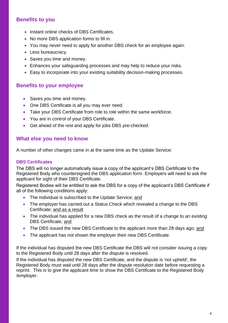## **Benefits to you**

- Instant online checks of DBS Certificates.
- No more DBS application forms to fill in.
- You may never need to apply for another DBS check for an employee again.
- Less bureaucracy.
- Saves you time and money.
- Enhances your safeguarding processes and may help to reduce your risks.
- Easy to incorporate into your existing suitability decision-making processes.

## **Benefits to your employee**

- Saves you time and money.
- One DBS Certificate is all you may ever need.
- Take your DBS Certificate from role to role within the same workforce.
- You are in control of your DBS Certificate.
- Get ahead of the rest and apply for jobs DBS pre-checked.

## **What else you need to know**

A number of other changes came in at the same time as the Update Service:

## **DBS Certificates**

The DBS will no longer automatically issue a copy of the applicant's DBS Certificate to the Registered Body who countersigned the DBS application form. Employers will need to ask the applicant for sight of their DBS Certificate.

Registered Bodies will be entitled to ask the DBS for a copy of the applicant's DBS Certificate if all of the following conditions apply:

- The individual is subscribed to the Update Service; and
- The employer has carried out a Status Check which revealed a change to the DBS Certificate; and as a result
- The individual has applied for a new DBS check as the result of a change to an existing DBS Certificate; and
- The DBS issued the new DBS Certificate to the applicant more than 28 days ago; and
- The applicant has not shown the employer their new DBS Certificate.

If the individual has disputed the new DBS Certificate the DBS will not consider issuing a copy to the Registered Body until 28 days after the dispute is resolved.

If the individual has disputed the new DBS Certificate, and the dispute is 'not upheld', the Registered Body must wait until 28 days after the dispute resolution date before requesting a reprint. This is to give the applicant time to show the DBS Certificate to the Registered Body /employer.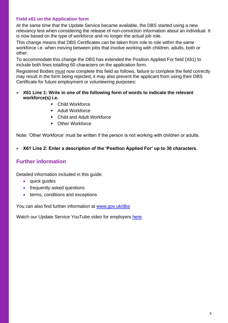## **Field x61 on the Application form**

At the same time that the Update Service became available, the DBS started using a new relevancy test when considering the release of non-conviction information about an individual. It is now based on the type of workforce and no longer the actual job role.

This change means that DBS Certificates can be taken from role to role within the same workforce i.e. when moving between jobs that involve working with children, adults, both or other.

To accommodate this change the DBS has extended the Position Applied For field (X61) to include both lines totalling 60 characters on the application form.

Registered Bodies must now complete this field as follows, failure to complete the field correctly may result in the form being rejected, it may also prevent the applicant from using their DBS Certificate for future employment or volunteering purposes:

- **X61 Line 1: Write in one of the following form of words to indicate the relevant workforce(s) i.e.**
	- Child Workforce
	- Adult Workforce
	- Child and Adult Workforce
	- **Cther Workforce**

Note: 'Other Workforce' must be written if the person is not working with children or adults.

## **X61 Line 2: Enter a description of the 'Position Applied For' up to 30 characters.**

## **Further information**

Detailed information included in this guide:

- quick guides
- frequently asked questions
- terms, conditions and exceptions

You can also find further information at [www.gov.uk/dbs](http://www.gov.uk/dbs-update-service)

Watch our Update Service YouTube video for employers [here.](http://www.youtube.com/watch?v=k2p2k2MQvRE)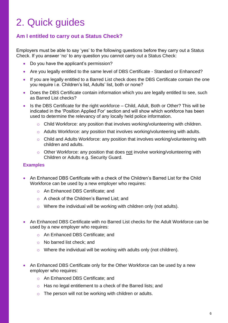# <span id="page-5-0"></span>2. Quick guides

## **Am I entitled to carry out a Status Check?**

Employers must be able to say 'yes' to the following questions before they carry out a Status Check. If you answer 'no' to any question you cannot carry out a Status Check:

- Do you have the applicant's permission?
- Are you legally entitled to the same level of DBS Certificate Standard or Enhanced?
- If you are legally entitled to a Barred List check does the DBS Certificate contain the one you require i.e. Children's list, Adults' list, both or none?
- Does the DBS Certificate contain information which you are legally entitled to see, such as Barred List checks?
- Is the DBS Certificate for the right workforce Child, Adult, Both or Other? This will be indicated in the 'Position Applied For' section and will show which workforce has been used to determine the relevancy of any locally held police information.
	- o Child Workforce: any position that involves working/volunteering with children.
	- o Adults Workforce: any position that involves working/volunteering with adults.
	- o Child and Adults Workforce: any position that involves working/volunteering with children and adults.
	- o Other Workforce: any position that does not involve working/volunteering with Children or Adults e.g. Security Guard.

#### **Examples**

- An Enhanced DBS Certificate with a check of the Children's Barred List for the Child Workforce can be used by a new employer who requires:
	- o An Enhanced DBS Certificate; and
	- o A check of the Children's Barred List; and
	- o Where the individual will be working with children only (not adults).
- An Enhanced DBS Certificate with no Barred List checks for the Adult Workforce can be used by a new employer who requires:
	- o An Enhanced DBS Certificate; and
	- o No barred list check; and
	- o Where the individual will be working with adults only (not children).
- An Enhanced DBS Certificate only for the Other Workforce can be used by a new employer who requires:
	- o An Enhanced DBS Certificate; and
	- o Has no legal entitlement to a check of the Barred lists; and
	- $\circ$  The person will not be working with children or adults.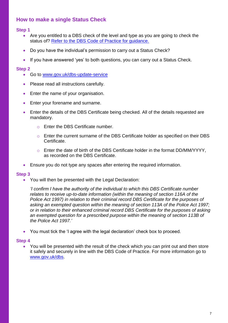# **How to make a single Status Check**

## **Step 1**

- Are you entitled to a DBS check of the level and type as you are going to check the status of? Refer to the DBS Code of Practice for quidance.
- Do you have the individual's permission to carry out a Status Check?
- If you have answered 'yes' to both questions, you can carry out a Status Check.

## **Step 2**

- Go to [www.gov.uk/dbs-update-service](http://www.gov.uk/dbs-update-service)
- Please read all instructions carefully.
- **Enter the name of your organisation.**
- **Enter your forename and surname.**
- Enter the details of the DBS Certificate being checked. All of the details requested are mandatory.
	- o Enter the DBS Certificate number.
	- o Enter the current surname of the DBS Certificate holder as specified on their DBS **Certificate**
	- o Enter the date of birth of the DBS Certificate holder in the format DD/MM/YYYY, as recorded on the DBS Certificate.
- Ensure you do not type any spaces after entering the required information.

## **Step 3**

You will then be presented with the Legal Declaration:

*'I confirm I have the authority of the individual to which this DBS Certificate number relates to receive up-to-date information (within the meaning of section 116A of the Police Act 1997) in relation to their criminal record DBS Certificate for the purposes of asking an exempted question within the meaning of section 113A of the Police Act 1997; or in relation to their enhanced criminal record DBS Certificate for the purposes of asking an exempted question for a prescribed purpose within the meaning of section 113B of the Police Act 1997.'*

You must tick the 'I agree with the legal declaration' check box to proceed.

## **Step 4**

 You will be presented with the result of the check which you can print out and then store it safely and securely in line with the DBS Code of Practice. For more information go to [www.gov.uk/dbs.](http://www.gov.uk/dbs)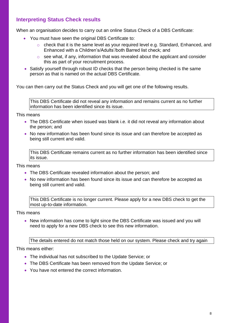# **Interpreting Status Check results**

When an organisation decides to carry out an online Status Check of a DBS Certificate:

- You must have seen the original DBS Certificate to:
	- o check that it is the same level as your required level e.g. Standard, Enhanced, and Enhanced with a Children's/Adults'/both Barred list check; and
	- $\circ$  see what, if any, information that was revealed about the applicant and consider this as part of your recruitment process.
- Satisfy yourself through robust ID checks that the person being checked is the same person as that is named on the actual DBS Certificate.

You can then carry out the Status Check and you will get one of the following results.

This DBS Certificate did not reveal any information and remains current as no further information has been identified since its issue.

This means

- The DBS Certificate when issued was blank i.e. it did not reveal any information about the person; and
- No new information has been found since its issue and can therefore be accepted as being still current and valid.

This DBS Certificate remains current as no further information has been identified since its issue.

This means

- The DBS Certificate revealed information about the person; and
- No new information has been found since its issue and can therefore be accepted as being still current and valid.

This DBS Certificate is no longer current. Please apply for a new DBS check to get the most up-to-date information.

This means

• New information has come to light since the DBS Certificate was issued and you will need to apply for a new DBS check to see this new information.

The details entered do not match those held on our system. Please check and try again

This means either:

- The individual has not subscribed to the Update Service; or
- The DBS Certificate has been removed from the Update Service; or
- You have not entered the correct information.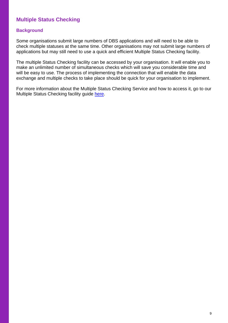## **Multiple Status Checking**

## **Background**

Some organisations submit large numbers of DBS applications and will need to be able to check multiple statuses at the same time. Other organisations may not submit large numbers of applications but may still need to use a quick and efficient Multiple Status Checking facility.

The multiple Status Checking facility can be accessed by your organisation. It will enable you to make an unlimited number of simultaneous checks which will save you considerable time and will be easy to use. The process of implementing the connection that will enable the data exchange and multiple checks to take place should be quick for your organisation to implement.

For more information about the Multiple Status Checking Service and how to access it, go to our Multiple Status Checking facility guide [here.](https://www.gov.uk/government/publications/dbs-update-service-multiple-status-checking-guide)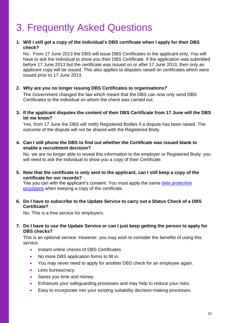# <span id="page-9-0"></span>3. Frequently Asked Questions

## **1. Will I still get a copy of the individual's DBS certificate when I apply for their DBS check?**

No. From 17 June 2013 the DBS will issue DBS Certificates to the applicant only. You will have to ask the individual to show you their DBS Certificate. If the application was submitted before 17 June 2013 but the certificate was issued on or after 17 June 2013, then only an applicant copy will be issued. This also applies to disputes raised on certificates which were issued prior to 17 June 2013.

## **2. Why are you no longer issuing DBS Certificates to organisations?**

The Government changed the law which meant that the DBS can now only send DBS Certificates to the individual on whom the check was carried out.

## **3. If the applicant disputes the content of their DBS Certificate from 17 June will the DBS let me know?**

Yes, from 17 June the DBS will notify Registered Bodies if a dispute has been raised. The outcome of the dispute will not be shared with the Registered Body.

## **4. Can I still phone the DBS to find out whether the Certificate was issued blank to enable a recruitment decision?**

No, we are no longer able to reveal this information to the employer or Registered Body; you will need to ask the individual to show you a copy of their Certificate.

**5. Now that the certificate is only sent to the applicant, can I still keep a copy of the certificate for our records?**

Yes you can with the applicant's consent. You must apply the same data protection [provisions](http://www.legislation.gov.uk/ukpga/1998/29/contents) when keeping a copy of the certificate.

## **6. Do I have to subscribe to the Update Service to carry out a Status Check of a DBS Certificate?**

No. This is a free service for employers.

## **7. Do I have to use the Update Service or can I just keep getting the person to apply for DBS checks?**

This is an optional service. However, you may wish to consider the benefits of using this service.

- Instant online checks of DBS Certificates.
- No more DBS application forms to fill in.
- You may never need to apply for another DBS check for an employee again.
- Less bureaucracy.
- Saves you time and money.
- Enhances your safeguarding processes and may help to reduce your risks.
- Easy to incorporate into your existing suitability decision-making processes.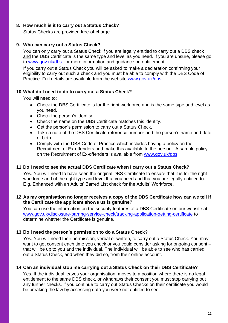## **8. How much is it to carry out a Status Check?**

Status Checks are provided free-of-charge.

## **9. Who can carry out a Status Check?**

You can only carry out a Status Check if you are legally entitled to carry out a DBS check and the DBS Certificate is the same type and level as you need. If you are unsure, please go to [www.gov.uk/dbs](http://www.gov.uk/dbs) for more information and guidance on entitlement.

If you carry out a Status Check you will be asked to make a declaration confirming your eligibility to carry out such a check and you must be able to comply with the DBS Code of Practice. Full details are available from the website [www.gov.uk/dbs.](http://www.gov.uk/dbs)

## **10.What do I need to do to carry out a Status Check?**

You will need to:

- Check the DBS Certificate is for the right workforce and is the same type and level as you need.
- Check the person's identity.
- Check the name on the DBS Certificate matches this identity.
- Get the person's permission to carry out a Status Check.
- Take a note of the DBS Certificate reference number and the person's name and date of birth.
- Comply with the DBS Code of Practice which includes having a policy on the Recruitment of Ex-offenders and make this available to the person. A sample policy on the Recruitment of Ex-offenders is available from [www.gov.uk/dbs.](http://www.gov.uk/dbs)

## **11.Do I need to see the actual DBS Certificate when I carry out a Status Check?**

Yes. You will need to have seen the original DBS Certificate to ensure that it is for the right workforce and of the right type and level that you need and that you are legally entitled to. E.g. Enhanced with an Adults' Barred List check for the Adults' Workforce.

## **12.As my organisation no longer receives a copy of the DBS Certificate how can we tell if the Certificate the applicant shows us is genuine?**

You can use the information on the security features of a DBS Certificate on our website at <www.gov.uk/disclosure-barring-service-check/tracking-application-getting-certificate> to determine whether the Certificate is genuine.

## **13.Do I need the person's permission to do a Status Check?**

Yes. You will need their permission, verbal or written, to carry out a Status Check. You may want to get consent each time you check or you could consider asking for ongoing consent – that will be up to you and the individual. The individual will be able to see who has carried out a Status Check, and when they did so, from their online account.

## **14.Can an individual stop me carrying out a Status Check on their DBS Certificate?**

Yes. If the individual leaves your organisation, moves to a position where there is no legal entitlement to the same DBS check, or withdraws their consent you must stop carrying out any further checks. If you continue to carry out Status Checks on their certificate you would be breaking the law by accessing data you were not entitled to see.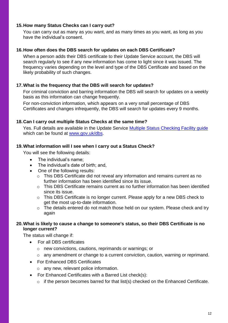## **15.How many Status Checks can I carry out?**

You can carry out as many as you want, and as many times as you want, as long as you have the individual's consent.

## **16.How often does the DBS search for updates on each DBS Certificate?**

When a person adds their DBS certificate to their Update Service account, the DBS will search regularly to see if any new information has come to light since it was issued. The frequency varies depending on the level and type of the DBS Certificate and based on the likely probability of such changes.

## **17.What is the frequency that the DBS will search for updates?**

For criminal conviction and barring information the DBS will search for updates on a weekly basis as this information can change frequently.

For non-conviction information, which appears on a very small percentage of DBS Certificates and changes infrequently, the DBS will search for updates every 9 months.

## **18.Can I carry out multiple Status Checks at the same time?**

Yes. Full details are available in the Update Service [Multiple Status Checking Facility guide](https://www.gov.uk/government/publications/dbs-update-service-multiple-status-checking-guide) which can be found at [www.gov.uk/dbs.](http://www.gov.uk/dbs)

## **19.What information will I see when I carry out a Status Check?**

You will see the following details:

- The individual's name;
- The individual's date of birth; and,
- One of the following results:
	- o This DBS Certificate did not reveal any information and remains current as no further information has been identified since its issue.
	- $\circ$  This DBS Certificate remains current as no further information has been identified since its issue.
	- o This DBS Certificate is no longer current. Please apply for a new DBS check to get the most up-to-date information.
	- o The details entered do not match those held on our system. Please check and try again

## **20.What is likely to cause a change to someone's status, so their DBS Certificate is no longer current?**

The status will change if:

- For all DBS certificates
	- o new convictions, cautions, reprimands or warnings; or
	- o any amendment or change to a current conviction, caution, warning or reprimand.
- For Enhanced DBS Certificates
	- o any new, relevant police information.
- For Enhanced Certificates with a Barred List check(s):
	- o if the person becomes barred for that list(s) checked on the Enhanced Certificate.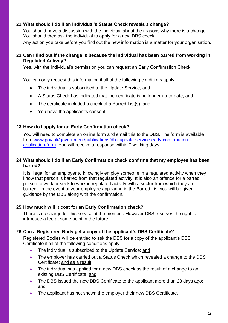## **21.What should I do if an individual's Status Check reveals a change?**

You should have a discussion with the individual about the reasons why there is a change. You should then ask the individual to apply for a new DBS check.

Any action you take before you find out the new information is a matter for your organisation.

## **22.Can I find out if the change is because the individual has been barred from working in Regulated Activity?**

Yes, with the individual's permission you can request an Early Confirmation Check.

You can only request this information if all of the following conditions apply:

- The individual is subscribed to the Update Service; and
- A Status Check has indicated that the certificate is no longer up-to-date; and
- The certificate included a check of a Barred List(s); and
- You have the applicant's consent.

## **23.How do I apply for an Early Confirmation check?**

You will need to complete an online form and email this to the DBS. The form is available from [www.gov.uk/government/publications/dbs-update-service-early-confirmation](https://www.gov.uk/government/publications/dbs-update-service-early-confirmation-application-form)[application-form.](https://www.gov.uk/government/publications/dbs-update-service-early-confirmation-application-form) You will receive a response within 7 working days.

## **24.What should I do if an Early Confirmation check confirms that my employee has been barred?**

It is illegal for an employer to knowingly employ someone in a regulated activity when they know that person is barred from that regulated activity. It is also an offence for a barred person to work or seek to work in regulated activity with a sector from which they are barred. In the event of your employee appearing in the Barred List you will be given guidance by the DBS along with the confirmation.

## **25.How much will it cost for an Early Confirmation check?**

There is no charge for this service at the moment. However DBS reserves the right to introduce a fee at some point in the future.

## **26.Can a Registered Body get a copy of the applicant's DBS Certificate?**

Registered Bodies will be entitled to ask the DBS for a copy of the applicant's DBS Certificate if all of the following conditions apply:

- The individual is subscribed to the Update Service; and
- The employer has carried out a Status Check which revealed a change to the DBS Certificate; and as a result
- The individual has applied for a new DBS check as the result of a change to an existing DBS Certificate; and
- The DBS issued the new DBS Certificate to the applicant more than 28 days ago; and
- The applicant has not shown the employer their new DBS Certificate.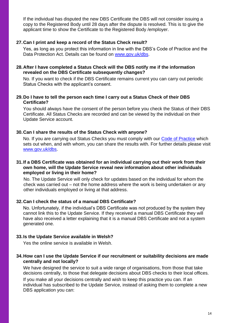If the individual has disputed the new DBS Certificate the DBS will not consider issuing a copy to the Registered Body until 28 days after the dispute is resolved. This is to give the applicant time to show the Certificate to the Registered Body /employer.

## **27.Can I print and keep a record of the Status Check result?**

Yes, as long as you protect this information in line with the DBS's Code of Practice and the Data Protection Act. Details can be found on [www.gov.uk/dbs.](http://www.gov.uk/dbs)

## **28.After I have completed a Status Check will the DBS notify me if the information revealed on the DBS Certificate subsequently changes?**

No. If you want to check if the DBS Certificate remains current you can carry out periodic Status Checks with the applicant's consent.

## **29.Do I have to tell the person each time I carry out a Status Check of their DBS Certificate?**

You should always have the consent of the person before you check the Status of their DBS Certificate. All Status Checks are recorded and can be viewed by the individual on their Update Service account.

## **30.Can I share the results of the Status Check with anyone?**

No. If you are carrying out Status Checks you must comply with our [Code of Practice](https://www.gov.uk/government/uploads/system/uploads/attachment_data/file/143662/cop.pdf) which sets out when, and with whom, you can share the results with. For further details please visit [www.gov.uk/dbs.](http://www.gov.uk/dbs)

## **31.If a DBS Certificate was obtained for an individual carrying out their work from their own home, will the Update Service reveal new information about other individuals employed or living in their home?**

No. The Update Service will only check for updates based on the individual for whom the check was carried out – not the home address where the work is being undertaken or any other individuals employed or living at that address.

## **32.Can I check the status of a manual DBS Certificate?**

No. Unfortunately, if the individual's DBS Certificate was not produced by the system they cannot link this to the Update Service. If they received a manual DBS Certificate they will have also received a letter explaining that it is a manual DBS Certificate and not a system generated one.

## **33.Is the Update Service available in Welsh?**

Yes the online service is available in Welsh.

## **34.How can I use the Update Service if our recruitment or suitability decisions are made centrally and not locally?**

We have designed the service to suit a wide range of organisations, from those that take decisions centrally, to those that delegate decisions about DBS checks to their local offices. If you make all your decisions centrally and wish to keep this practice you can. If an individual has subscribed to the Update Service, instead of asking them to complete a new DBS application you can: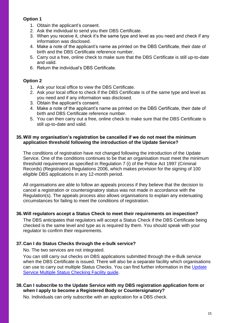## **Option 1**

- 1. Obtain the applicant's consent.
- 2. Ask the individual to send you their DBS Certificate.
- 3. When you receive it, check it's the same type and level as you need and check if any information was disclosed.
- 4. Make a note of the applicant's name as printed on the DBS Certificate, their date of birth and the DBS Certificate reference number.
- 5. Carry out a free, online check to make sure that the DBS Certificate is still up-to-date and valid.
- 6. Return the individual's DBS Certificate.

## **Option 2**

- 1. Ask your local office to view the DBS Certificate.
- 2. Ask your local office to check if the DBS Certificate is of the same type and level as you need and if any information was disclosed.
- 3. Obtain the applicant's consent.
- 4. Make a note of the applicant's name as printed on the DBS Certificate, their date of birth and DBS Certificate reference number.
- 5. You can then carry out a free, online check to make sure that the DBS Certificate is still up-to-date and valid.

## **35.Will my organisation's registration be cancelled if we do not meet the minimum application threshold following the introduction of the Update Service?**

The conditions of registration have not changed following the introduction of the Update Service. One of the conditions continues to be that an organisation must meet the minimum threshold requirement as specified in Regulation 7 (i) of the Police Act 1997 (Criminal Records) (Registration) Regulations 2006, which makes provision for the signing of 100 eligible DBS applications in any 12-month period.

All organisations are able to follow an appeals process if they believe that the decision to cancel a registration or countersignatory status was not made in accordance with the Regulation(s). The appeals process also allows organisations to explain any extenuating circumstances for failing to meet the conditions of registration.

## **36.Will regulators accept a Status Check to meet their requirements on inspection?**

The DBS anticipates that regulators will accept a Status Check if the DBS Certificate being checked is the same level and type as is required by them. You should speak with your regulator to confirm their requirements.

## **37.Can I do Status Checks through the e-bulk service?**

No. The two services are not integrated.

You can still carry out checks on DBS applications submitted through the e-Bulk service when the DBS Certificate is issued. There will also be a separate facility which organisations can use to carry out multiple Status Checks. You can find further information in the [Update](https://www.gov.uk/government/publications/dbs-update-service-multiple-status-checking-guide)  [Service Multiple Status Checking Facility guide.](https://www.gov.uk/government/publications/dbs-update-service-multiple-status-checking-guide)

## **38.Can I subscribe to the Update Service with my DBS registration application form or when I apply to become a Registered Body or Countersignatory?**

No. Individuals can only subscribe with an application for a DBS check.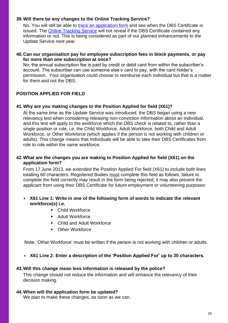## **39.Will there be any changes to the Online Tracking Service?**

No. You will still be able to [track an application form](https://secure.crbonline.gov.uk/enquiry/enquirySearch.do) and see when the DBS Certificate is issued. The [Online Tracking Service](https://secure.crbonline.gov.uk/enquiry/enquirySearch.do) will not reveal if the DBS Certificate contained any information or not. This is being considered as part of our planned enhancements to the Update Service next year.

## **40.Can our organisation pay for employee subscription fees in block payments, or pay for more than one subscription at once?**

No, the annual subscription fee is paid by credit or debit card from within the subscriber's account. The subscriber can use someone else's card to pay, with the card holder's permission. Your organisation could choose to reimburse each individual but that is a matter for them and not the DBS.

## **POSITION APPLIED FOR FIELD**

## **41.Why are you making changes to the Position Applied for field (X61)?**

At the same time as the Update Service was introduced, the DBS began using a new relevancy test when considering releasing non-conviction information about an individual, and this test will apply to the workforce which the DBS check is related to, rather than a single position or role, i.e. the Child Workforce, Adult Workforce, both Child and Adult Workforce, or Other Workforce (which applies if the person is not working with children or adults). This change means that individuals will be able to take their DBS Certificates from role to role within the same workforce.

## **42.What are the changes you are making to Position Applied for field (X61) on the application form?**

From 17 June 2013, we extended the Position Applied For field (X61) to include both lines totalling 60 characters. Registered Bodies must complete this field as follows, failure to complete the field correctly may result in the form being rejected; it may also prevent the applicant from using their DBS Certificate for future employment or volunteering purposes:

- **X61 Line 1: Write in one of the following form of words to indicate the relevant workforce(s) i.e.**
	- Child Workforce
	- **Adult Workforce**
	- Child and Adult Workforce
	- **C**ther Workforce

Note: 'Other Workforce' must be written if the person is not working with children or adults.

**X61 Line 2: Enter a description of the 'Position Applied For' up to 30 characters.**

## **43.Will this change mean less information is released by the police?**

This change should not reduce the information and will enhance the relevancy of their decision making.

## **44.When will the application form be updated?**

We plan to make these changes, as soon as we can.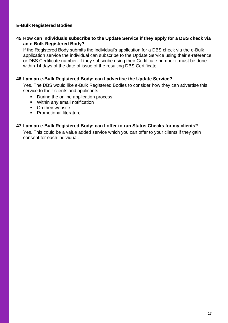## **E-Bulk Registered Bodies**

## **45.How can individuals subscribe to the Update Service if they apply for a DBS check via an e-Bulk Registered Body?**

If the Registered Body submits the individual's application for a DBS check via the e-Bulk application service the individual can subscribe to the Update Service using their e-reference or DBS Certificate number. If they subscribe using their Certificate number it must be done within 14 days of the date of issue of the resulting DBS Certificate.

#### **46.I am an e-Bulk Registered Body; can I advertise the Update Service?**

Yes. The DBS would like e-Bulk Registered Bodies to consider how they can advertise this service to their clients and applicants:

- During the online application process
- **Within any email notification**
- On their website
- **Promotional literature**

#### **47.I am an e-Bulk Registered Body; can I offer to run Status Checks for my clients?**

Yes. This could be a value added service which you can offer to your clients if they gain consent for each individual.